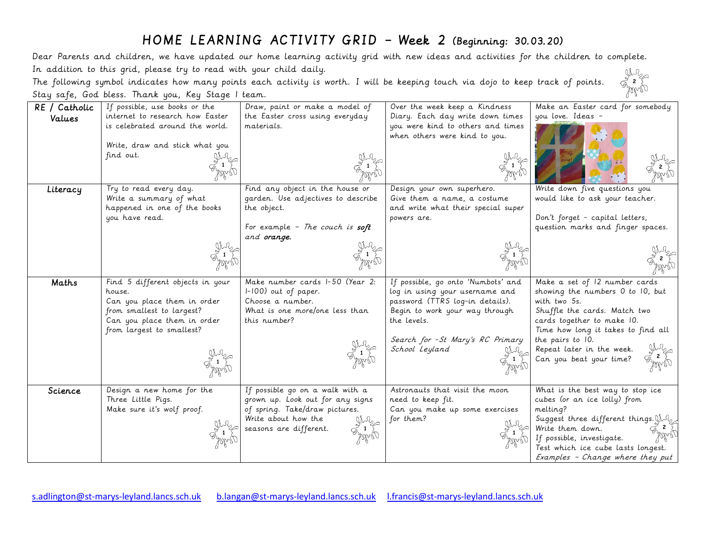## HOME LEARNING ACTIVITY GRID – Week 2 (Beginning: 30.03.20)

Dear Parents and children, we have updated our home learning activity grid with new ideas and activities for the children to complete. In addition to this grid, please try to read with your child daily. **2111** 

The following symbol indicates how many points each activity is worth. I will be keeping touch via dojo to keep track of points. Stay safe, God bless. Thank you, Key Stage 1 team.

| RE / Catholic | If possible, use books or the    | Draw, paint or make a model of            | Over the week keep a Kindness                                     | Make an Easter card for somebody      |
|---------------|----------------------------------|-------------------------------------------|-------------------------------------------------------------------|---------------------------------------|
| Values        | internet to research how Easter  | the Easter cross using everyday           | Diary. Each day write down times                                  | you love. Ideas -                     |
|               | is celebrated around the world.  | materials.                                | you were kind to others and times                                 |                                       |
|               |                                  |                                           | when others were kind to you.                                     |                                       |
|               | Write, draw and stick what you   |                                           |                                                                   |                                       |
|               | find out.                        |                                           |                                                                   |                                       |
|               |                                  |                                           |                                                                   |                                       |
| Literacy      | Try to read every day.           | Find any object in the house or           | Design your own superhero.                                        | Write down five questions you         |
|               | Write a summary of what          | garden. Use adjectives to describe        | Give them a name, a costume                                       | would like to ask your teacher.       |
|               | happened in one of the books     | the object.                               | and write what their special super                                |                                       |
|               | you have read.                   |                                           | powers are.                                                       | Don't forget - capital letters,       |
|               |                                  | For example - The couch is soft           |                                                                   | question marks and finger spaces.     |
|               |                                  | and <b>orange</b> .                       |                                                                   |                                       |
|               |                                  |                                           |                                                                   |                                       |
|               |                                  |                                           |                                                                   |                                       |
|               |                                  |                                           |                                                                   |                                       |
| Maths         | Find 5 different objects in your | Make number cards I-50 (Year 2:           | If possible, go onto 'Numbots' and                                | Make a set of 12 number cards         |
|               | house.                           |                                           |                                                                   | showing the numbers 0 to 10, but      |
|               | Can you place them in order      | $1-100$ out of paper.<br>Choose a number. | log in using your username and<br>password (TTRS log-in details). | with two 5s.                          |
|               | from smallest to largest?        | What is one more/one less than            | Begin to work your way through                                    | Shuffle the cards. Match two          |
|               | Can you place them in order      | this number?                              | the levels.                                                       | cards together to make 10.            |
|               | from largest to smallest?        |                                           |                                                                   | Time how long it takes to find all    |
|               |                                  |                                           | Search for - St Mary's RC Primary                                 | the pairs to 10.                      |
|               |                                  |                                           | School Leyland                                                    | Repeat later in the week.             |
|               |                                  |                                           |                                                                   | Can you beat your time?               |
|               |                                  |                                           |                                                                   |                                       |
|               |                                  |                                           |                                                                   |                                       |
| Science       | Design a new home for the        | If possible go on a walk with a           | Astronauts that visit the moon                                    | What is the best way to stop ice      |
|               | Three Little Pigs.               | grown up. Look out for any signs          | need to keep fit.                                                 | cubes (or an ice lolly) from          |
|               | Make sure it's wolf proof.       | of spring. Take/draw pictures.            | Can you make up some exercises                                    | melting?                              |
|               |                                  | Write about how the                       | for them?                                                         | Suggest three different things. $M_2$ |
|               |                                  | seasons are different.                    |                                                                   | Write them down.                      |
|               |                                  |                                           |                                                                   | If possible, investigate.             |
|               |                                  |                                           |                                                                   | Test which ice cube lasts longest.    |
|               |                                  |                                           |                                                                   | Examples - Change where they put      |